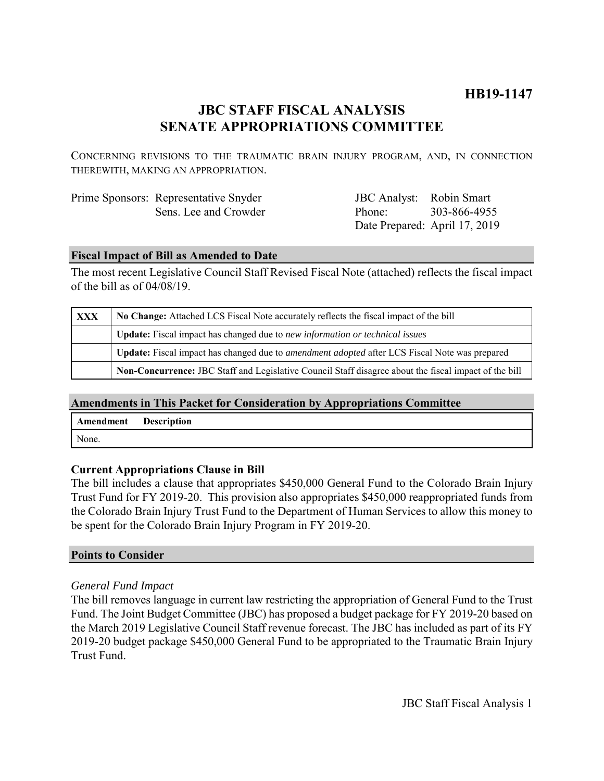# **HB19-1147**

# **JBC STAFF FISCAL ANALYSIS SENATE APPROPRIATIONS COMMITTEE**

CONCERNING REVISIONS TO THE TRAUMATIC BRAIN INJURY PROGRAM, AND, IN CONNECTION THEREWITH, MAKING AN APPROPRIATION.

| Prime Sponsors: Representative Snyder |
|---------------------------------------|
| Sens. Lee and Crowder                 |

JBC Analyst: Robin Smart Phone: Date Prepared: April 17, 2019 303-866-4955

### **Fiscal Impact of Bill as Amended to Date**

The most recent Legislative Council Staff Revised Fiscal Note (attached) reflects the fiscal impact of the bill as of 04/08/19.

| <b>XXX</b> | No Change: Attached LCS Fiscal Note accurately reflects the fiscal impact of the bill                        |  |
|------------|--------------------------------------------------------------------------------------------------------------|--|
|            | <b>Update:</b> Fiscal impact has changed due to new information or technical issues                          |  |
|            | <b>Update:</b> Fiscal impact has changed due to <i>amendment adopted</i> after LCS Fiscal Note was prepared  |  |
|            | <b>Non-Concurrence:</b> JBC Staff and Legislative Council Staff disagree about the fiscal impact of the bill |  |

## **Amendments in This Packet for Consideration by Appropriations Committee**

| <b>Amendment</b> Description |  |
|------------------------------|--|
| None.                        |  |

## **Current Appropriations Clause in Bill**

The bill includes a clause that appropriates \$450,000 General Fund to the Colorado Brain Injury Trust Fund for FY 2019-20. This provision also appropriates \$450,000 reappropriated funds from the Colorado Brain Injury Trust Fund to the Department of Human Services to allow this money to be spent for the Colorado Brain Injury Program in FY 2019-20.

#### **Points to Consider**

## *General Fund Impact*

The bill removes language in current law restricting the appropriation of General Fund to the Trust Fund. The Joint Budget Committee (JBC) has proposed a budget package for FY 2019-20 based on the March 2019 Legislative Council Staff revenue forecast. The JBC has included as part of its FY 2019-20 budget package \$450,000 General Fund to be appropriated to the Traumatic Brain Injury Trust Fund.